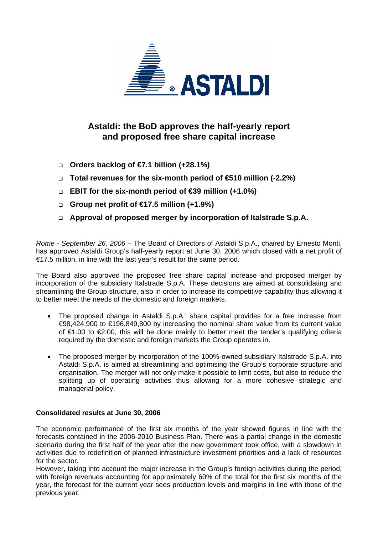

## **Astaldi: the BoD approves the half-yearly report and proposed free share capital increase**

- **Orders backlog of €7.1 billion (+28.1%)**
- **Total revenues for the six-month period of €510 million (-2.2%)**
- **EBIT for the six-month period of €39 million (+1.0%)**
- **Group net profit of €17.5 million (+1.9%)**
- **Approval of proposed merger by incorporation of Italstrade S.p.A.**

*Rome - September 26, 2006* – The Board of Directors of Astaldi S.p.A., chaired by Ernesto Monti, has approved Astaldi Group's half-yearly report at June 30, 2006 which closed with a net profit of €17.5 million, in line with the last year's result for the same period.

The Board also approved the proposed free share capital increase and proposed merger by incorporation of the subsidiary Italstrade S.p.A. These decisions are aimed at consolidating and streamlining the Group structure, also in order to increase its competitive capability thus allowing it to better meet the needs of the domestic and foreign markets.

- The proposed change in Astaldi S.p.A.' share capital provides for a free increase from €98,424,900 to €196,849,800 by increasing the nominal share value from its current value of €1.00 to €2.00, this will be done mainly to better meet the tender's qualifying criteria required by the domestic and foreign markets the Group operates in.
- The proposed merger by incorporation of the 100%-owned subsidiary Italstrade S.p.A. into Astaldi S.p.A. is aimed at streamlining and optimising the Group's corporate structure and organisation. The merger will not only make it possible to limit costs, but also to reduce the splitting up of operating activities thus allowing for a more cohesive strategic and managerial policy.

### **Consolidated results at June 30, 2006**

The economic performance of the first six months of the year showed figures in line with the forecasts contained in the 2006-2010 Business Plan. There was a partial change in the domestic scenario during the first half of the year after the new government took office, with a slowdown in activities due to redefinition of planned infrastructure investment priorities and a lack of resources for the sector.

However, taking into account the major increase in the Group's foreign activities during the period, with foreign revenues accounting for approximately 60% of the total for the first six months of the year, the forecast for the current year sees production levels and margins in line with those of the previous year.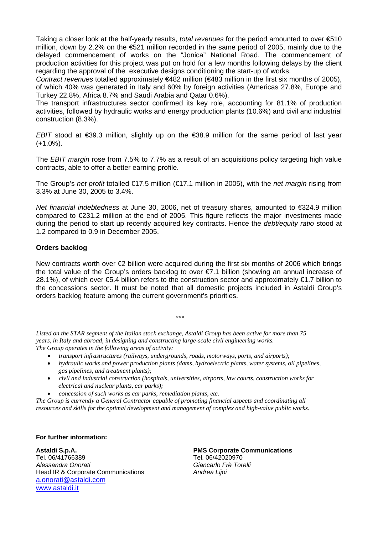Taking a closer look at the half-yearly results, *total revenues* for the period amounted to over €510 million, down by 2.2% on the €521 million recorded in the same period of 2005, mainly due to the delayed commencement of works on the "Jonica" National Road. The commencement of production activities for this project was put on hold for a few months following delays by the client regarding the approval of the executive designs conditioning the start-up of works.

*Contract revenues* totalled approximately €482 million (€483 million in the first six months of 2005), of which 40% was generated in Italy and 60% by foreign activities (Americas 27.8%, Europe and Turkey 22.8%, Africa 8.7% and Saudi Arabia and Qatar 0.6%).

The transport infrastructures sector confirmed its key role, accounting for 81.1% of production activities, followed by hydraulic works and energy production plants (10.6%) and civil and industrial construction (8.3%).

*EBIT* stood at €39.3 million, slightly up on the €38.9 million for the same period of last year  $(+1.0\%)$ .

The *EBIT margin* rose from 7.5% to 7.7% as a result of an acquisitions policy targeting high value contracts, able to offer a better earning profile.

The Group's *net profit* totalled €17.5 million (€17.1 million in 2005), with the *net margin* rising from 3.3% at June 30, 2005 to 3.4%.

*Net financial indebtedness* at June 30, 2006, net of treasury shares, amounted to €324.9 million compared to  $\epsilon$ 231.2 million at the end of 2005. This figure reflects the major investments made during the period to start up recently acquired key contracts. Hence the *debt/equity ratio* stood at 1.2 compared to 0.9 in December 2005.

#### **Orders backlog**

New contracts worth over €2 billion were acquired during the first six months of 2006 which brings the total value of the Group's orders backlog to over €7.1 billion (showing an annual increase of 28.1%), of which over €5.4 billion refers to the construction sector and approximately €1.7 billion to the concessions sector. It must be noted that all domestic projects included in Astaldi Group's orders backlog feature among the current government's priorities.

ли в общество в общество в общество в общество в общество в общество в общество в общество в общество в обществ<br>В общество в общество в общество в общество в общество в общество в общество в общество в общество в общество

*Listed on the STAR segment of the Italian stock exchange, Astaldi Group has been active for more than 75 years, in Italy and abroad, in designing and constructing large-scale civil engineering works. The Group operates in the following areas of activity:* 

- *transport infrastructures (railways, undergrounds, roads, motorways, ports, and airports);*
- *hydraulic works and power production plants (dams, hydroelectric plants, water systems, oil pipelines, gas pipelines, and treatment plants);*
- *civil and industrial construction (hospitals, universities, airports, law courts, construction works for electrical and nuclear plants, car parks);*
- *concession of such works as car parks, remediation plants, etc.*

*The Group is currently a General Contractor capable of promoting financial aspects and coordinating all resources and skills for the optimal development and management of complex and high-value public works.* 

**For further information:** 

**Astaldi S.p.A. PMS Corporate Communications**  Tel. 06/41766389 Tel. 06/42020970 *Alessandra Onorati Giancarlo Frè Torelli*  Head IR & Corporate Communications *Andrea Lijoi*  a.onorati@astaldi.com www.astaldi.it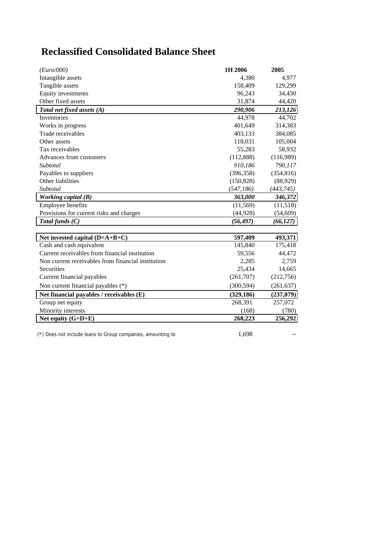# **Reclassified Consolidated Balance Sheet**

| (Euro/000)                                         | 1H 2006    | 2005       |
|----------------------------------------------------|------------|------------|
| Intangible assets                                  | 4,380      | 4,977      |
| Tangible assets                                    | 158,409    | 129,299    |
| Equity investments                                 | 96,243     | 34,430     |
| Other fixed assets                                 | 31,874     | 44,420     |
| Total net fixed assets (A)                         | 290,906    | 213,126    |
| Inventories                                        | 44,978     | 44,702     |
| Works in progress                                  | 401,649    | 314,383    |
| Trade receivables                                  | 403,133    | 384,085    |
| Other assets                                       | 118,031    | 105,004    |
| Tax receivables                                    | 55,283     | 58,932     |
| Advances from customers                            | (112,888)  | (116,989)  |
| Subtotal                                           | 910,186    | 790,117    |
| Payables to suppliers                              | (396, 358) | (354, 816) |
| Other liabilities                                  | (150, 828) | (88,929)   |
| Subtotal                                           | (547, 186) | (443, 745) |
| Working capital (B)                                | 363,000    | 346,372    |
| Employee benefits                                  | (11, 569)  | (11,518)   |
| Provisions for current risks and charges           | (44, 928)  | (54, 609)  |
| Total funds $(C)$                                  | (56, 497)  | (66, 127)  |
|                                                    |            |            |
| Net invested capital $(D=A+B+C)$                   | 597,409    | 493,371    |
| Cash and cash equivalent                           | 145,840    | 175,418    |
| Current receivables from financial institution     | 59,556     | 44,472     |
| Non current receivables from financial institution | 2,285      | 2,759      |
| <b>Securities</b>                                  | 25,434     | 14,665     |
| Current financial payables                         | (261,707)  | (212, 756) |
| Non current financial payables (*)                 | (300, 594) | (261, 637) |
| Net financial payables / receivables (E)           | (329, 186) | (237,079)  |
| Group net equity                                   | 268,391    | 257,072    |
| Minority interests                                 | (168)      | (780)      |
| Net equity $(G=D+E)$                               | 268,223    | 256,292    |

 $(*)$  Does not include loans to Group companies, amounting to  $1,698$  --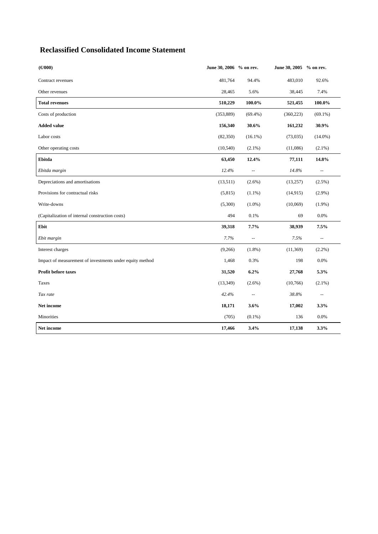## **Reclassified Consolidated Income Statement**

| $(\bigoplus 000)$                                        | June 30, 2006 % on rev. |                           | June 30, 2005 % on rev. |                                               |
|----------------------------------------------------------|-------------------------|---------------------------|-------------------------|-----------------------------------------------|
| Contract revenues                                        | 481,764                 | 94.4%                     | 483,010                 | 92.6%                                         |
| Other revenues                                           | 28,465                  | 5.6%                      | 38,445                  | 7.4%                                          |
| <b>Total revenues</b>                                    | 510,229                 | 100.0%                    | 521,455                 | 100.0%                                        |
| Costs of production                                      | (353, 889)              | $(69.4\%)$                | (360, 223)              | $(69.1\%)$                                    |
| <b>Added value</b>                                       | 156,340                 | 30.6%                     | 161,232                 | 30.9%                                         |
| Labor costs                                              | (82,350)                | $(16.1\%)$                | (73,035)                | $(14.0\%)$                                    |
| Other operating costs                                    | (10, 540)               | $(2.1\%)$                 | (11,086)                | $(2.1\%)$                                     |
| Ebitda                                                   | 63,450                  | 12.4%                     | 77,111                  | 14.8%                                         |
| Ebitda margin                                            | 12.4%                   | $\overline{\phantom{a}}$  | 14.8%                   | $\mathord{\hspace{1pt}\text{--}\hspace{1pt}}$ |
| Depreciations and amortisations                          | (13,511)                | $(2.6\%)$                 | (13,257)                | (2.5%)                                        |
| Provisions for contractual risks                         | (5,815)                 | $(1.1\%)$                 | (14, 915)               | $(2.9\%)$                                     |
| Write-downs                                              | (5,300)                 | $(1.0\%)$                 | (10,069)                | $(1.9\%)$                                     |
| (Capitalization of internal construction costs)          | 494                     | 0.1%                      | 69                      | 0.0%                                          |
| Ebit                                                     | 39,318                  | 7.7%                      | 38,939                  | 7.5%                                          |
| Ebit margin                                              | 7.7%                    | $\mathbb{L}^{\mathbb{L}}$ | 7.5%                    | $\ddotsc$                                     |
| Interest charges                                         | (9,266)                 | $(1.8\%)$                 | (11,369)                | $(2.2\%)$                                     |
| Impact of measurement of investments under equity method | 1,468                   | 0.3%                      | 198                     | 0.0%                                          |
| Profit before taxes                                      | 31,520                  | 6.2%                      | 27,768                  | 5.3%                                          |
| Taxes                                                    | (13, 349)               | $(2.6\%)$                 | (10,766)                | $(2.1\%)$                                     |
| Tax rate                                                 | 42.4%                   | $\overline{\phantom{m}}$  | 38.8%                   | $\overline{\phantom{a}}$                      |
| Net income                                               | 18,171                  | 3.6%                      | 17,002                  | 3.3%                                          |
| Minorities                                               | (705)                   | $(0.1\%)$                 | 136                     | 0.0%                                          |
| Net income                                               | 17,466                  | 3.4%                      | 17,138                  | 3.3%                                          |